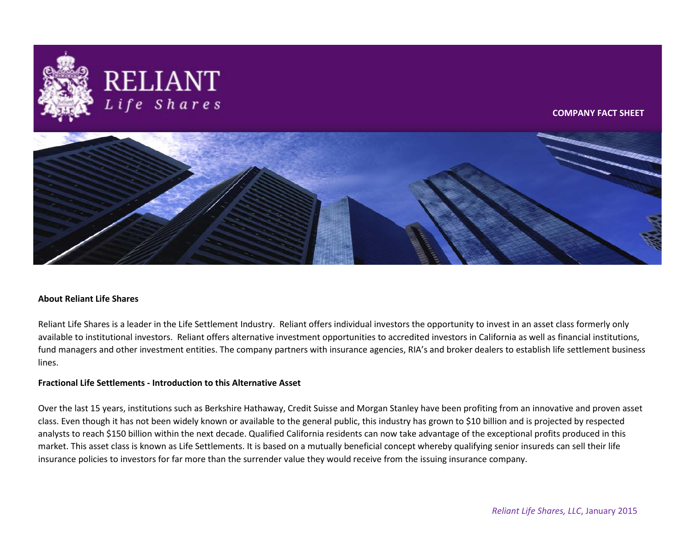

# **About Reliant Life Shares**

Reliant Life Shares is a leader in the Life Settlement Industry. Reliant offers individual investors the opportunity to invest in an asset class formerly only available to institutional investors. Reliant offers alternative investment opportunities to accredited investors in California as well as financial institutions, fund managers and other investment entities. The company partners with insurance agencies, RIA's and broker dealers to establish life settlement business lines.

## **Fractional Life Settlements - Introduction to this Alternative Asset**

Over the last 15 years, institutions such as Berkshire Hathaway, Credit Suisse and Morgan Stanley have been profiting from an innovative and proven asset class. Even though it has not been widely known or available to the general public, this industry has grown to \$10 billion and is projected by respected analysts to reach \$150 billion within the next decade. Qualified California residents can now take advantage of the exceptional profits produced in this market. This asset class is known as Life Settlements. It is based on a mutually beneficial concept whereby qualifying senior insureds can sell their life insurance policies to investors for far more than the surrender value they would receive from the issuing insurance company.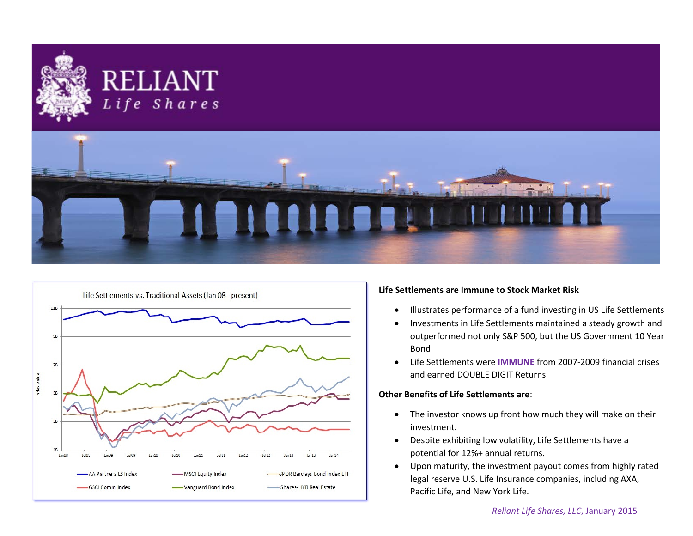





# **Life Settlements are Immune to Stock Market Risk**

- Illustrates performance of a fund investing in US Life Settlements
- Investments in Life Settlements maintained a steady growth and outperformed not only S&P 500, but the US Government 10 Year Bond
- Life Settlements were **IMMUNE** from 2007-2009 financial crises and earned DOUBLE DIGIT Returns

# **Other Benefits of Life Settlements are**:

- The investor knows up front how much they will make on their investment.
- Despite exhibiting low volatility, Life Settlements have a potential for 12%+ annual returns.
- Upon maturity, the investment payout comes from highly rated legal reserve U.S. Life Insurance companies, including AXA, Pacific Life, and New York Life.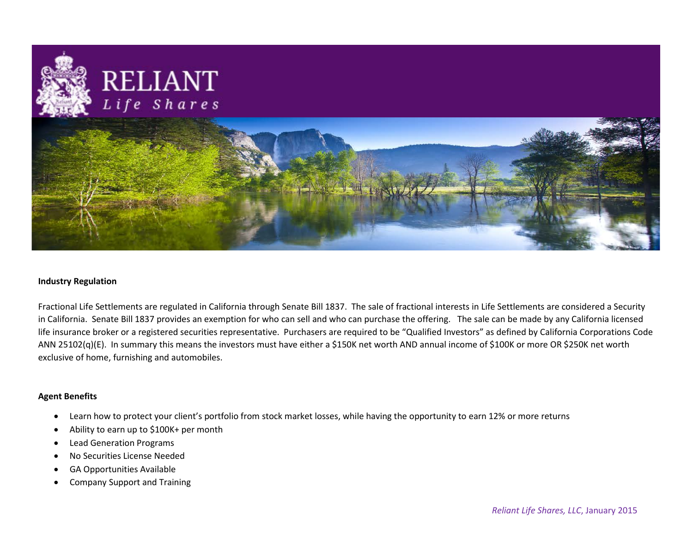

## **Industry Regulation**

Fractional Life Settlements are regulated in California through Senate Bill 1837. The sale of fractional interests in Life Settlements are considered a Security in California. Senate Bill 1837 provides an exemption for who can sell and who can purchase the offering. The sale can be made by any California licensed life insurance broker or a registered securities representative. Purchasers are required to be "Qualified Investors" as defined by California Corporations Code ANN 25102(q)(E). In summary this means the investors must have either a \$150K net worth AND annual income of \$100K or more OR \$250K net worth exclusive of home, furnishing and automobiles.

## **Agent Benefits**

- Learn how to protect your client's portfolio from stock market losses, while having the opportunity to earn 12% or more returns
- Ability to earn up to \$100K+ per month
- Lead Generation Programs
- No Securities License Needed
- GA Opportunities Available
- Company Support and Training